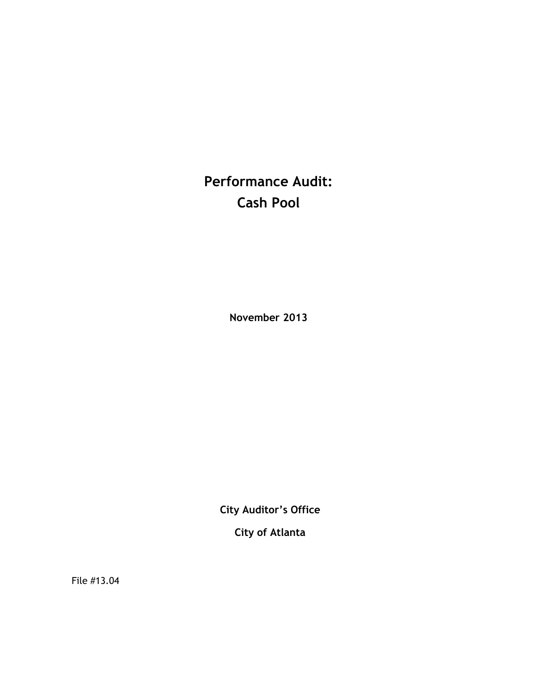**Performance Audit: Cash Pool**

**November 2013**

**City Auditor's Office**

**City of Atlanta**

File #13.04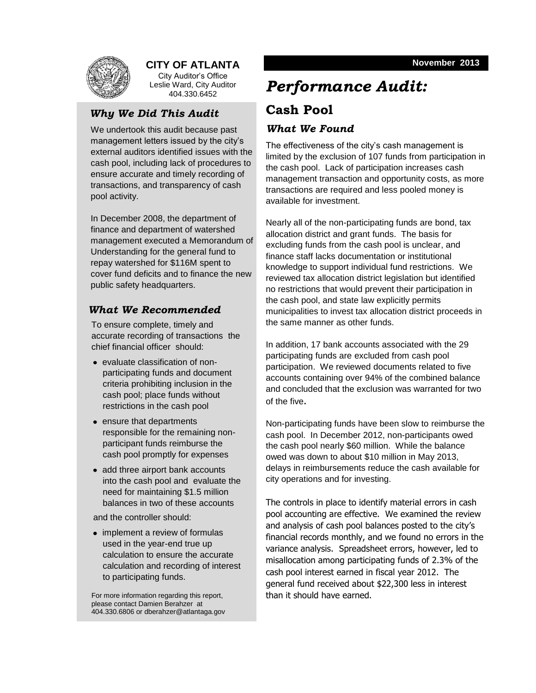

### **CITY OF ATLANTA**

City Auditor's Office Leslie Ward, City Auditor 404.330.6452

### *Why We Did This Audit*

We undertook this audit because past management letters issued by the city's external auditors identified issues with the cash pool, including lack of procedures to ensure accurate and timely recording of transactions, and transparency of cash pool activity.

In December 2008, the department of finance and department of watershed management executed a Memorandum of Understanding for the general fund to repay watershed for \$116M spent to cover fund deficits and to finance the new public safety headquarters.

### *What We Recommended*

To ensure complete, timely and accurate recording of transactions the chief financial officer should:

- evaluate classification of nonparticipating funds and document criteria prohibiting inclusion in the cash pool; place funds without restrictions in the cash pool
- ensure that departments responsible for the remaining nonparticipant funds reimburse the cash pool promptly for expenses
- add three airport bank accounts into the cash pool and evaluate the need for maintaining \$1.5 million balances in two of these accounts

and the controller should:

• implement a review of formulas used in the year-end true up calculation to ensure the accurate calculation and recording of interest to participating funds.

For more information regarding this report, please contact Damien Berahzer at 404.330.6806 or dberahzer@atlantaga.gov

# *Performance Audit:* **Cash Pool**

### *What We Found*

The effectiveness of the city's cash management is limited by the exclusion of 107 funds from participation in the cash pool. Lack of participation increases cash management transaction and opportunity costs, as more transactions are required and less pooled money is available for investment.

Nearly all of the non-participating funds are bond, tax allocation district and grant funds. The basis for excluding funds from the cash pool is unclear, and finance staff lacks documentation or institutional knowledge to support individual fund restrictions. We reviewed tax allocation district legislation but identified no restrictions that would prevent their participation in the cash pool, and state law explicitly permits municipalities to invest tax allocation district proceeds in the same manner as other funds.

In addition, 17 bank accounts associated with the 29 participating funds are excluded from cash pool participation. We reviewed documents related to five accounts containing over 94% of the combined balance and concluded that the exclusion was warranted for two of the five.

Non-participating funds have been slow to reimburse the cash pool. In December 2012, non-participants owed the cash pool nearly \$60 million. While the balance owed was down to about \$10 million in May 2013, delays in reimbursements reduce the cash available for city operations and for investing.

The controls in place to identify material errors in cash pool accounting are effective. We examined the review and analysis of cash pool balances posted to the city's financial records monthly, and we found no errors in the variance analysis. Spreadsheet errors, however, led to misallocation among participating funds of 2.3% of the cash pool interest earned in fiscal year 2012. The general fund received about \$22,300 less in interest than it should have earned.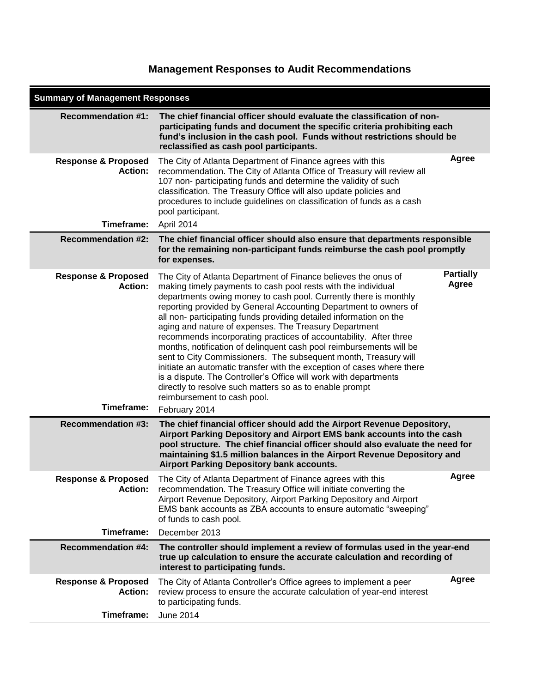## **Management Responses to Audit Recommendations**

| <b>Summary of Management Responses</b>                         |                                                                                                                                                                                                                                                                                                                                                                                                                                                                                                                                                                                                                                                                                                                                                                                                                                                                                |                           |  |
|----------------------------------------------------------------|--------------------------------------------------------------------------------------------------------------------------------------------------------------------------------------------------------------------------------------------------------------------------------------------------------------------------------------------------------------------------------------------------------------------------------------------------------------------------------------------------------------------------------------------------------------------------------------------------------------------------------------------------------------------------------------------------------------------------------------------------------------------------------------------------------------------------------------------------------------------------------|---------------------------|--|
| <b>Recommendation #1:</b>                                      | The chief financial officer should evaluate the classification of non-<br>participating funds and document the specific criteria prohibiting each<br>fund's inclusion in the cash pool. Funds without restrictions should be<br>reclassified as cash pool participants.                                                                                                                                                                                                                                                                                                                                                                                                                                                                                                                                                                                                        |                           |  |
| <b>Response &amp; Proposed</b><br>Action:                      | The City of Atlanta Department of Finance agrees with this<br>recommendation. The City of Atlanta Office of Treasury will review all<br>107 non- participating funds and determine the validity of such<br>classification. The Treasury Office will also update policies and<br>procedures to include guidelines on classification of funds as a cash<br>pool participant.                                                                                                                                                                                                                                                                                                                                                                                                                                                                                                     | Agree                     |  |
| Timeframe:                                                     | April 2014                                                                                                                                                                                                                                                                                                                                                                                                                                                                                                                                                                                                                                                                                                                                                                                                                                                                     |                           |  |
| <b>Recommendation #2:</b>                                      | The chief financial officer should also ensure that departments responsible<br>for the remaining non-participant funds reimburse the cash pool promptly<br>for expenses.                                                                                                                                                                                                                                                                                                                                                                                                                                                                                                                                                                                                                                                                                                       |                           |  |
| <b>Response &amp; Proposed</b><br><b>Action:</b><br>Timeframe: | The City of Atlanta Department of Finance believes the onus of<br>making timely payments to cash pool rests with the individual<br>departments owing money to cash pool. Currently there is monthly<br>reporting provided by General Accounting Department to owners of<br>all non- participating funds providing detailed information on the<br>aging and nature of expenses. The Treasury Department<br>recommends incorporating practices of accountability. After three<br>months, notification of delinquent cash pool reimbursements will be<br>sent to City Commissioners. The subsequent month, Treasury will<br>initiate an automatic transfer with the exception of cases where there<br>is a dispute. The Controller's Office will work with departments<br>directly to resolve such matters so as to enable prompt<br>reimbursement to cash pool.<br>February 2014 | <b>Partially</b><br>Agree |  |
| <b>Recommendation #3:</b>                                      | The chief financial officer should add the Airport Revenue Depository,<br>Airport Parking Depository and Airport EMS bank accounts into the cash<br>pool structure. The chief financial officer should also evaluate the need for<br>maintaining \$1.5 million balances in the Airport Revenue Depository and<br><b>Airport Parking Depository bank accounts.</b>                                                                                                                                                                                                                                                                                                                                                                                                                                                                                                              |                           |  |
| <b>Response &amp; Proposed</b><br>Action:                      | The City of Atlanta Department of Finance agrees with this<br>recommendation. The Treasury Office will initiate converting the<br>Airport Revenue Depository, Airport Parking Depository and Airport<br>EMS bank accounts as ZBA accounts to ensure automatic "sweeping"<br>of funds to cash pool.                                                                                                                                                                                                                                                                                                                                                                                                                                                                                                                                                                             | Agree                     |  |
| Timeframe:                                                     | December 2013                                                                                                                                                                                                                                                                                                                                                                                                                                                                                                                                                                                                                                                                                                                                                                                                                                                                  |                           |  |
| <b>Recommendation #4:</b>                                      | The controller should implement a review of formulas used in the year-end<br>true up calculation to ensure the accurate calculation and recording of<br>interest to participating funds.                                                                                                                                                                                                                                                                                                                                                                                                                                                                                                                                                                                                                                                                                       |                           |  |
| <b>Response &amp; Proposed</b><br><b>Action:</b>               | The City of Atlanta Controller's Office agrees to implement a peer<br>review process to ensure the accurate calculation of year-end interest<br>to participating funds.                                                                                                                                                                                                                                                                                                                                                                                                                                                                                                                                                                                                                                                                                                        | Agree                     |  |
| Timeframe:                                                     | <b>June 2014</b>                                                                                                                                                                                                                                                                                                                                                                                                                                                                                                                                                                                                                                                                                                                                                                                                                                                               |                           |  |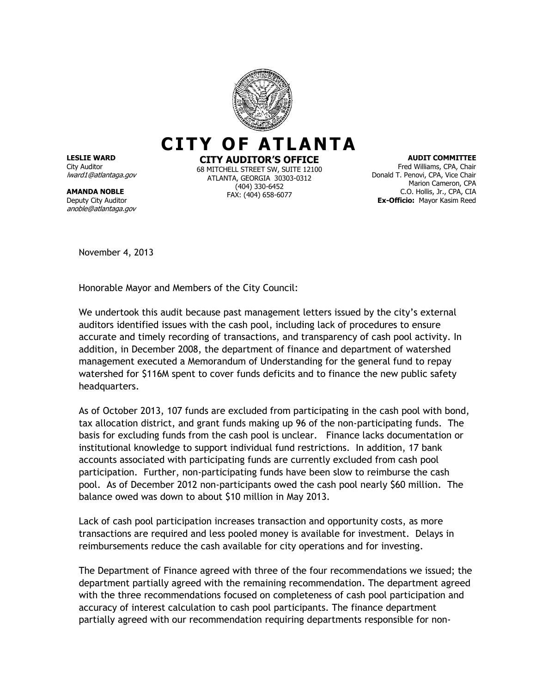

**LESLIE WARD** City Auditor lward1@atlantaga.gov

**AMANDA NOBLE** Deputy City Auditor anoble@atlantaga.gov **CITY AUDITOR'S OFFICE**

68 MITCHELL STREET SW, SUITE 12100 ATLANTA, GEORGIA 30303-0312 (404) 330-6452 FAX: (404) 658-6077

**AUDIT COMMITTEE** Fred Williams, CPA, Chair Donald T. Penovi, CPA, Vice Chair Marion Cameron, CPA C.O. Hollis, Jr., CPA, CIA **Ex-Officio:** Mayor Kasim Reed

November 4, 2013

Honorable Mayor and Members of the City Council:

We undertook this audit because past management letters issued by the city's external auditors identified issues with the cash pool, including lack of procedures to ensure accurate and timely recording of transactions, and transparency of cash pool activity. In addition, in December 2008, the department of finance and department of watershed management executed a Memorandum of Understanding for the general fund to repay watershed for \$116M spent to cover funds deficits and to finance the new public safety headquarters.

As of October 2013, 107 funds are excluded from participating in the cash pool with bond, tax allocation district, and grant funds making up 96 of the non-participating funds. The basis for excluding funds from the cash pool is unclear. Finance lacks documentation or institutional knowledge to support individual fund restrictions. In addition, 17 bank accounts associated with participating funds are currently excluded from cash pool participation. Further, non-participating funds have been slow to reimburse the cash pool. As of December 2012 non-participants owed the cash pool nearly \$60 million. The balance owed was down to about \$10 million in May 2013.

Lack of cash pool participation increases transaction and opportunity costs, as more transactions are required and less pooled money is available for investment. Delays in reimbursements reduce the cash available for city operations and for investing.

The Department of Finance agreed with three of the four recommendations we issued; the department partially agreed with the remaining recommendation. The department agreed with the three recommendations focused on completeness of cash pool participation and accuracy of interest calculation to cash pool participants. The finance department partially agreed with our recommendation requiring departments responsible for non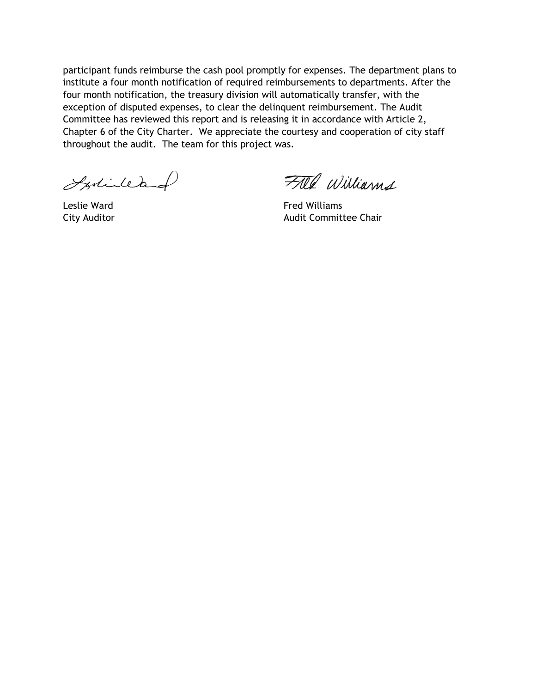participant funds reimburse the cash pool promptly for expenses. The department plans to institute a four month notification of required reimbursements to departments. After the four month notification, the treasury division will automatically transfer, with the exception of disputed expenses, to clear the delinquent reimbursement. The Audit Committee has reviewed this report and is releasing it in accordance with Article 2, Chapter 6 of the City Charter. We appreciate the courtesy and cooperation of city staff throughout the audit. The team for this project was.

Istillad

FALL Williams

Leslie Ward **Fred Williams** City Auditor **Audit Committee Chair Audit Committee Chair**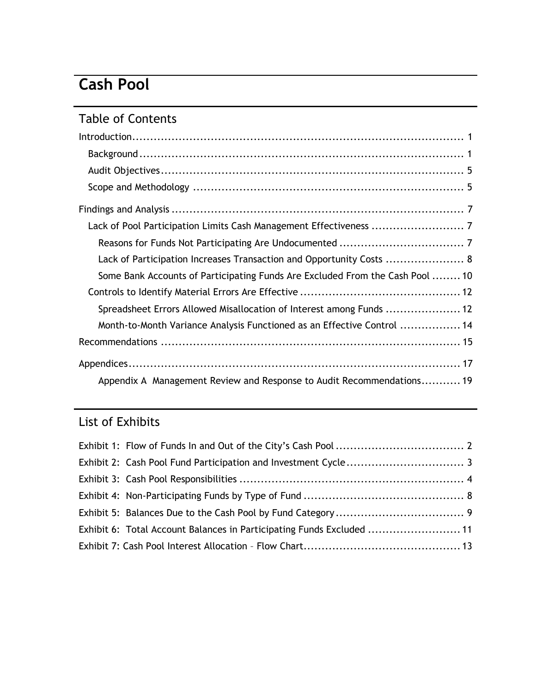# **Cash Pool**

# Table of Contents

| Lack of Participation Increases Transaction and Opportunity Costs  8          |
|-------------------------------------------------------------------------------|
| Some Bank Accounts of Participating Funds Are Excluded From the Cash Pool  10 |
|                                                                               |
| Spreadsheet Errors Allowed Misallocation of Interest among Funds  12          |
| Month-to-Month Variance Analysis Functioned as an Effective Control  14       |
|                                                                               |
|                                                                               |
| Appendix A Management Review and Response to Audit Recommendations 19         |

# List of Exhibits

| Exhibit 6: Total Account Balances in Participating Funds Excluded  11 |  |
|-----------------------------------------------------------------------|--|
|                                                                       |  |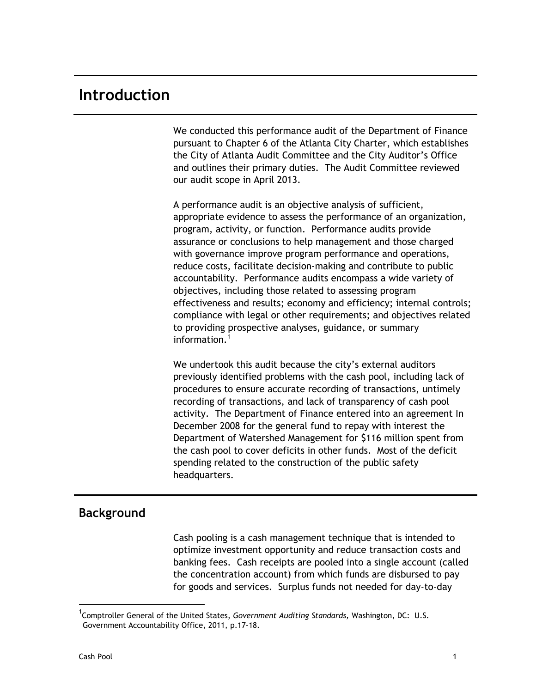# <span id="page-8-0"></span>**Introduction**

We conducted this performance audit of the Department of Finance pursuant to Chapter 6 of the Atlanta City Charter, which establishes the City of Atlanta Audit Committee and the City Auditor's Office and outlines their primary duties. The Audit Committee reviewed our audit scope in April 2013.

A performance audit is an objective analysis of sufficient, appropriate evidence to assess the performance of an organization, program, activity, or function. Performance audits provide assurance or conclusions to help management and those charged with governance improve program performance and operations, reduce costs, facilitate decision-making and contribute to public accountability. Performance audits encompass a wide variety of objectives, including those related to assessing program effectiveness and results; economy and efficiency; internal controls; compliance with legal or other requirements; and objectives related to providing prospective analyses, guidance, or summary information.<sup>1</sup>

We undertook this audit because the city's external auditors previously identified problems with the cash pool, including lack of procedures to ensure accurate recording of transactions, untimely recording of transactions, and lack of transparency of cash pool activity. The Department of Finance entered into an agreement In December 2008 for the general fund to repay with interest the Department of Watershed Management for \$116 million spent from the cash pool to cover deficits in other funds. Most of the deficit spending related to the construction of the public safety headquarters.

## <span id="page-8-1"></span>**Background**

Cash pooling is a cash management technique that is intended to optimize investment opportunity and reduce transaction costs and banking fees. Cash receipts are pooled into a single account (called the concentration account) from which funds are disbursed to pay for goods and services. Surplus funds not needed for day-to-day

 $\overline{a}$ 

<sup>1</sup> Comptroller General of the United States, *Government Auditing Standards,* Washington, DC: U.S. Government Accountability Office, 2011, p.17-18.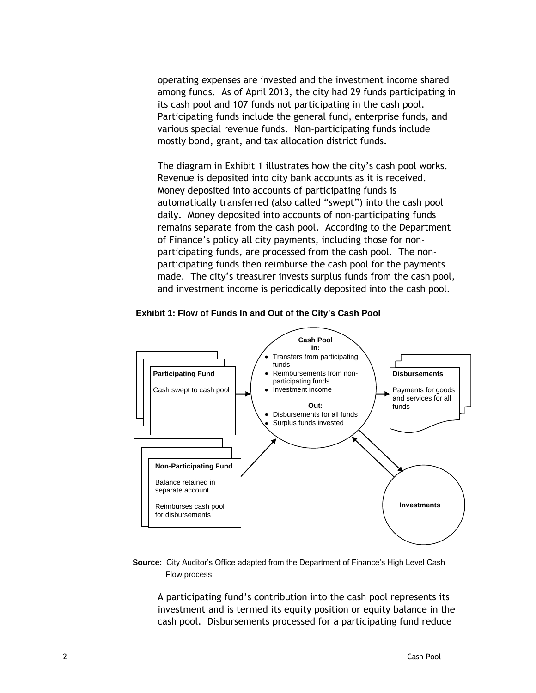operating expenses are invested and the investment income shared among funds. As of April 2013, the city had 29 funds participating in its cash pool and 107 funds not participating in the cash pool. Participating funds include the general fund, enterprise funds, and various special revenue funds. Non-participating funds include mostly bond, grant, and tax allocation district funds.

The diagram in Exhibit 1 illustrates how the city's cash pool works. Revenue is deposited into city bank accounts as it is received. Money deposited into accounts of participating funds is automatically transferred (also called "swept") into the cash pool daily. Money deposited into accounts of non-participating funds remains separate from the cash pool. According to the Department of Finance's policy all city payments, including those for nonparticipating funds, are processed from the cash pool. The nonparticipating funds then reimburse the cash pool for the payments made. The city's treasurer invests surplus funds from the cash pool, and investment income is periodically deposited into the cash pool.

#### <span id="page-9-0"></span> **Exhibit 1: Flow of Funds In and Out of the City's Cash Pool**



#### **Source:** City Auditor's Office adapted from the Department of Finance's High Level Cash Flow process

A participating fund's contribution into the cash pool represents its investment and is termed its equity position or equity balance in the cash pool. Disbursements processed for a participating fund reduce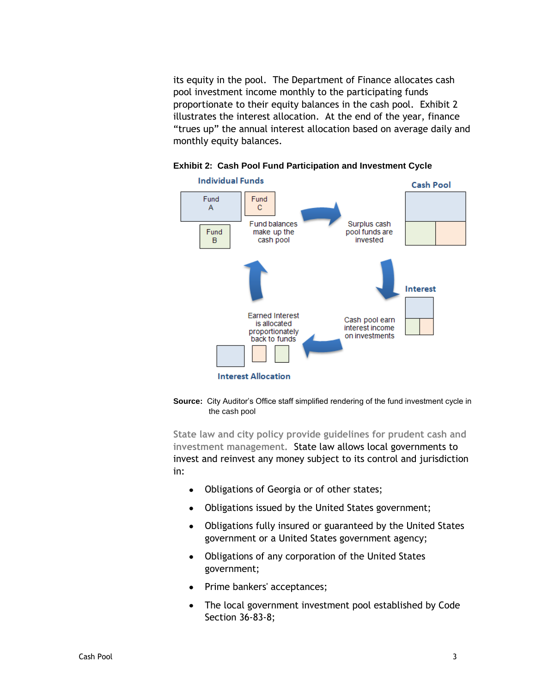its equity in the pool. The Department of Finance allocates cash pool investment income monthly to the participating funds proportionate to their equity balances in the cash pool. Exhibit 2 illustrates the interest allocation. At the end of the year, finance "trues up" the annual interest allocation based on average daily and monthly equity balances.



#### <span id="page-10-0"></span>**Exhibit 2: Cash Pool Fund Participation and Investment Cycle**

**Source:** City Auditor's Office staff simplified rendering of the fund investment cycle in the cash pool

**State law and city policy provide guidelines for prudent cash and investment management.** State law allows local governments to invest and reinvest any money subject to its control and jurisdiction in:

- Obligations of Georgia or of other states;  $\bullet$
- Obligations issued by the United States government;
- Obligations fully insured or guaranteed by the United States  $\bullet$ government or a United States government agency;
- $\bullet$ Obligations of any corporation of the United States government;
- Prime bankers' acceptances;  $\bullet$
- The local government investment pool established by Code  $\bullet$ Section 36-83-8;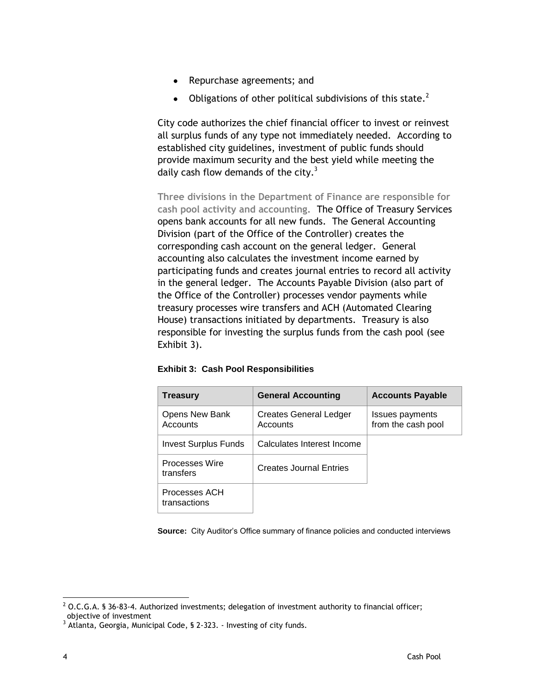- $\bullet$ Repurchase agreements; and
- Obligations of other political subdivisions of this state.<sup>2</sup>  $\bullet$

City code authorizes the chief financial officer to invest or reinvest all surplus funds of any type not immediately needed. According to established city guidelines, investment of public funds should provide maximum security and the best yield while meeting the daily cash flow demands of the city. $3$ 

**Three divisions in the Department of Finance are responsible for cash pool activity and accounting.** The Office of Treasury Services opens bank accounts for all new funds. The General Accounting Division (part of the Office of the Controller) creates the corresponding cash account on the general ledger. General accounting also calculates the investment income earned by participating funds and creates journal entries to record all activity in the general ledger. The Accounts Payable Division (also part of the Office of the Controller) processes vendor payments while treasury processes wire transfers and ACH (Automated Clearing House) transactions initiated by departments. Treasury is also responsible for investing the surplus funds from the cash pool (see Exhibit 3).

| <b>Treasury</b>               | <b>General Accounting</b>          | <b>Accounts Payable</b>               |
|-------------------------------|------------------------------------|---------------------------------------|
| Opens New Bank<br>Accounts    | Creates General Ledger<br>Accounts | Issues payments<br>from the cash pool |
| Invest Surplus Funds          | Calculates Interest Income         |                                       |
| Processes Wire<br>transfers   | <b>Creates Journal Entries</b>     |                                       |
| Processes ACH<br>transactions |                                    |                                       |

#### <span id="page-11-0"></span>**Exhibit 3: Cash Pool Responsibilities**

**Source:** City Auditor's Office summary of finance policies and conducted interviews

 $\overline{a}$  $^2$  O.C.G.A. § 36-83-4. Authorized investments; delegation of investment authority to financial officer; objective of investment

<sup>&</sup>lt;sup>3</sup> Atlanta, Georgia, Municipal Code, § 2-323. - Investing of city funds.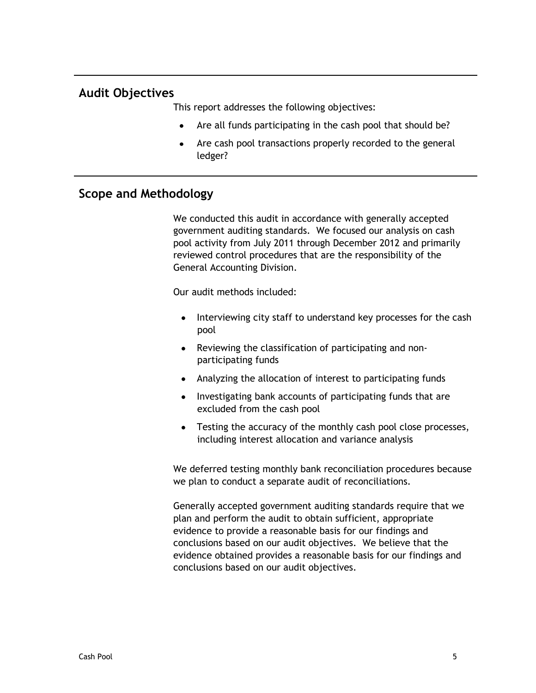## <span id="page-12-0"></span>**Audit Objectives**

This report addresses the following objectives:

- Are all funds participating in the cash pool that should be?
- Are cash pool transactions properly recorded to the general ledger?

### <span id="page-12-1"></span>**Scope and Methodology**

We conducted this audit in accordance with generally accepted government auditing standards. We focused our analysis on cash pool activity from July 2011 through December 2012 and primarily reviewed control procedures that are the responsibility of the General Accounting Division.

Our audit methods included:

- $\bullet$ Interviewing city staff to understand key processes for the cash pool
- Reviewing the classification of participating and non- $\bullet$ participating funds
- Analyzing the allocation of interest to participating funds
- Investigating bank accounts of participating funds that are excluded from the cash pool
- Testing the accuracy of the monthly cash pool close processes, including interest allocation and variance analysis

We deferred testing monthly bank reconciliation procedures because we plan to conduct a separate audit of reconciliations.

Generally accepted government auditing standards require that we plan and perform the audit to obtain sufficient, appropriate evidence to provide a reasonable basis for our findings and conclusions based on our audit objectives. We believe that the evidence obtained provides a reasonable basis for our findings and conclusions based on our audit objectives.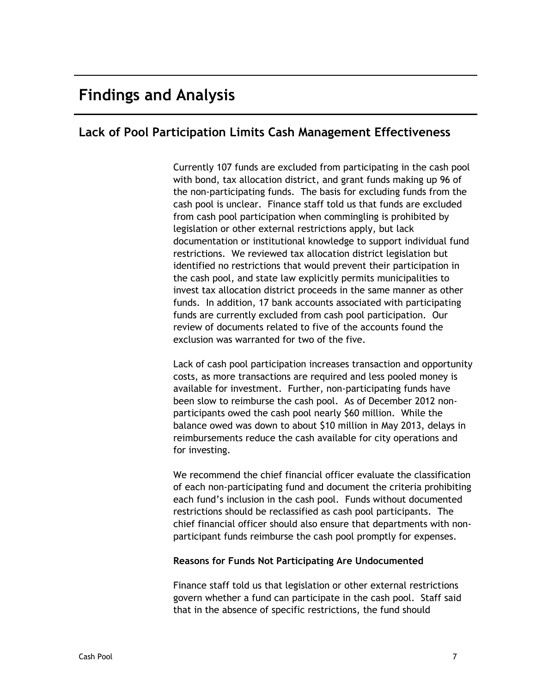# <span id="page-14-0"></span>**Findings and Analysis**

## <span id="page-14-1"></span>**Lack of Pool Participation Limits Cash Management Effectiveness**

Currently 107 funds are excluded from participating in the cash pool with bond, tax allocation district, and grant funds making up 96 of the non-participating funds. The basis for excluding funds from the cash pool is unclear. Finance staff told us that funds are excluded from cash pool participation when commingling is prohibited by legislation or other external restrictions apply, but lack documentation or institutional knowledge to support individual fund restrictions. We reviewed tax allocation district legislation but identified no restrictions that would prevent their participation in the cash pool, and state law explicitly permits municipalities to invest tax allocation district proceeds in the same manner as other funds. In addition, 17 bank accounts associated with participating funds are currently excluded from cash pool participation. Our review of documents related to five of the accounts found the exclusion was warranted for two of the five.

Lack of cash pool participation increases transaction and opportunity costs, as more transactions are required and less pooled money is available for investment. Further, non-participating funds have been slow to reimburse the cash pool. As of December 2012 nonparticipants owed the cash pool nearly \$60 million. While the balance owed was down to about \$10 million in May 2013, delays in reimbursements reduce the cash available for city operations and for investing.

We recommend the chief financial officer evaluate the classification of each non-participating fund and document the criteria prohibiting each fund's inclusion in the cash pool. Funds without documented restrictions should be reclassified as cash pool participants. The chief financial officer should also ensure that departments with nonparticipant funds reimburse the cash pool promptly for expenses.

### <span id="page-14-2"></span>**Reasons for Funds Not Participating Are Undocumented**

Finance staff told us that legislation or other external restrictions govern whether a fund can participate in the cash pool. Staff said that in the absence of specific restrictions, the fund should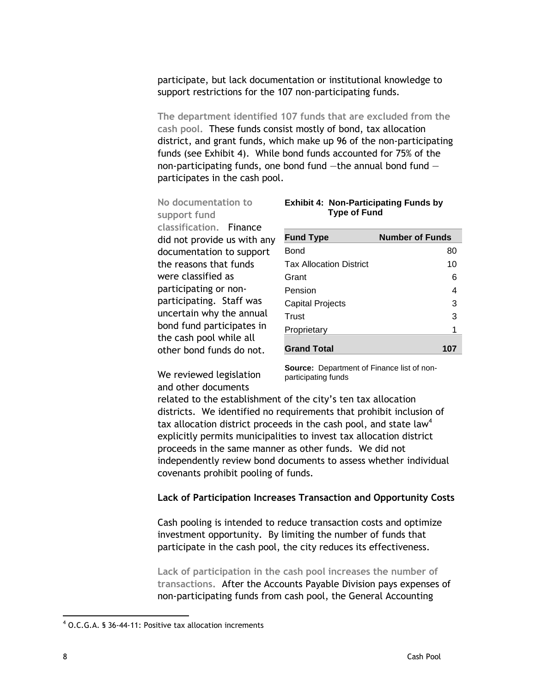participate, but lack documentation or institutional knowledge to support restrictions for the 107 non-participating funds.

**The department identified 107 funds that are excluded from the cash pool.** These funds consist mostly of bond, tax allocation district, and grant funds, which make up 96 of the non-participating funds (see Exhibit 4). While bond funds accounted for 75% of the non-participating funds, one bond fund  $-$ the annual bond fund  $$ participates in the cash pool.

### **No documentation to support fund**

**classification.** Finance did not provide us with any documentation to support the reasons that funds were classified as participating or nonparticipating. Staff was uncertain why the annual bond fund participates in the cash pool while all other bond funds do not.

### <span id="page-15-1"></span>**Exhibit 4: Non-Participating Funds by Type of Fund**

| <b>Fund Type</b>               | <b>Number of Funds</b> |
|--------------------------------|------------------------|
| Bond                           | 80                     |
| <b>Tax Allocation District</b> | 10                     |
| Grant                          | 6                      |
| Pension                        | 4                      |
| <b>Capital Projects</b>        | 3                      |
| Trust                          | 3                      |
| Proprietary                    | 1                      |
| <b>Grand Total</b>             | 107                    |

We reviewed legislation and other documents

**Source:** Department of Finance list of nonparticipating funds

related to the establishment of the city's ten tax allocation districts. We identified no requirements that prohibit inclusion of tax allocation district proceeds in the cash pool, and state law<sup>4</sup> explicitly permits municipalities to invest tax allocation district proceeds in the same manner as other funds. We did not independently review bond documents to assess whether individual covenants prohibit pooling of funds.

#### <span id="page-15-0"></span>**Lack of Participation Increases Transaction and Opportunity Costs**

Cash pooling is intended to reduce transaction costs and optimize investment opportunity. By limiting the number of funds that participate in the cash pool, the city reduces its effectiveness.

**Lack of participation in the cash pool increases the number of transactions.** After the Accounts Payable Division pays expenses of non-participating funds from cash pool, the General Accounting

 $\overline{a}$ 

 $4$  O.C.G.A. § 36-44-11: Positive tax allocation increments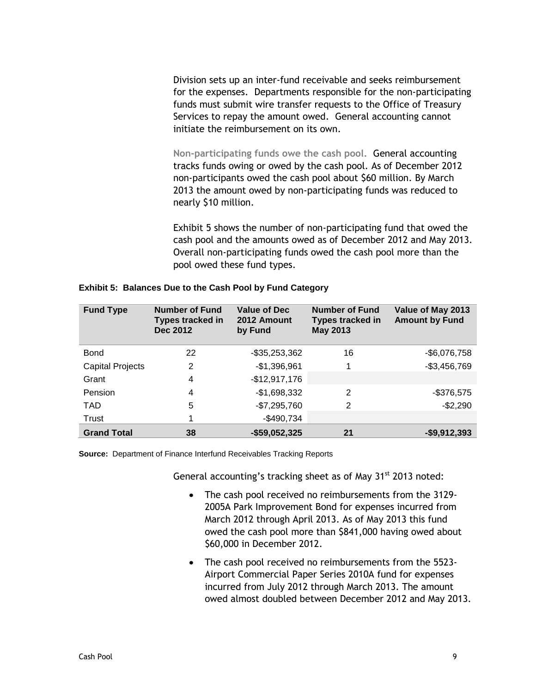Division sets up an inter-fund receivable and seeks reimbursement for the expenses. Departments responsible for the non-participating funds must submit wire transfer requests to the Office of Treasury Services to repay the amount owed. General accounting cannot initiate the reimbursement on its own.

**Non-participating funds owe the cash pool.** General accounting tracks funds owing or owed by the cash pool. As of December 2012 non-participants owed the cash pool about \$60 million. By March 2013 the amount owed by non-participating funds was reduced to nearly \$10 million.

Exhibit 5 shows the number of non-participating fund that owed the cash pool and the amounts owed as of December 2012 and May 2013. Overall non-participating funds owed the cash pool more than the pool owed these fund types.

| <b>Fund Type</b>        | <b>Number of Fund</b><br>Types tracked in<br><b>Dec 2012</b> | <b>Value of Dec</b><br>2012 Amount<br>by Fund | <b>Number of Fund</b><br><b>Types tracked in</b><br><b>May 2013</b> | Value of May 2013<br><b>Amount by Fund</b> |
|-------------------------|--------------------------------------------------------------|-----------------------------------------------|---------------------------------------------------------------------|--------------------------------------------|
| Bond                    | 22                                                           | -\$35,253,362                                 | 16                                                                  | $-$6,076,758$                              |
| <b>Capital Projects</b> | 2                                                            | $-$1,396,961$                                 |                                                                     | $-$3,456,769$                              |
| Grant                   | 4                                                            | $-$12,917,176$                                |                                                                     |                                            |
| Pension                 | $\overline{4}$                                               | $-$1,698,332$                                 | 2                                                                   | $-$376,575$                                |
| <b>TAD</b>              | 5                                                            | $-$7,295,760$                                 | 2                                                                   | $-$2,290$                                  |
| Trust                   |                                                              | $-$490,734$                                   |                                                                     |                                            |
| <b>Grand Total</b>      | 38                                                           | $-$59,052,325$                                | 21                                                                  | $-$9,912,393$                              |

<span id="page-16-0"></span>**Exhibit 5: Balances Due to the Cash Pool by Fund Category**

**Source:** Department of Finance Interfund Receivables Tracking Reports

General accounting's tracking sheet as of May  $31<sup>st</sup>$  2013 noted:

- $\bullet$ The cash pool received no reimbursements from the 3129- 2005A Park Improvement Bond for expenses incurred from March 2012 through April 2013. As of May 2013 this fund owed the cash pool more than \$841,000 having owed about \$60,000 in December 2012.
- The cash pool received no reimbursements from the 5523-Airport Commercial Paper Series 2010A fund for expenses incurred from July 2012 through March 2013. The amount owed almost doubled between December 2012 and May 2013.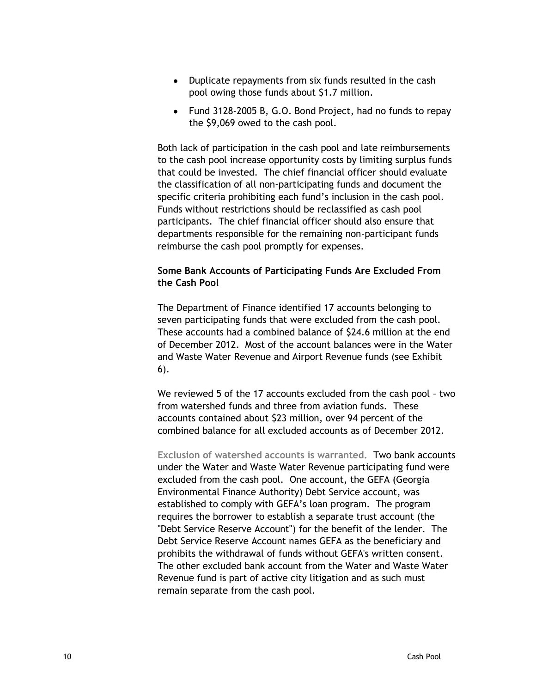- Duplicate repayments from six funds resulted in the cash pool owing those funds about \$1.7 million.
- Fund 3128-2005 B, G.O. Bond Project, had no funds to repay the \$9,069 owed to the cash pool.

Both lack of participation in the cash pool and late reimbursements to the cash pool increase opportunity costs by limiting surplus funds that could be invested. The chief financial officer should evaluate the classification of all non-participating funds and document the specific criteria prohibiting each fund's inclusion in the cash pool. Funds without restrictions should be reclassified as cash pool participants. The chief financial officer should also ensure that departments responsible for the remaining non-participant funds reimburse the cash pool promptly for expenses.

### <span id="page-17-0"></span>**Some Bank Accounts of Participating Funds Are Excluded From the Cash Pool**

The Department of Finance identified 17 accounts belonging to seven participating funds that were excluded from the cash pool. These accounts had a combined balance of \$24.6 million at the end of December 2012. Most of the account balances were in the Water and Waste Water Revenue and Airport Revenue funds (see Exhibit 6).

We reviewed 5 of the 17 accounts excluded from the cash pool – two from watershed funds and three from aviation funds. These accounts contained about \$23 million, over 94 percent of the combined balance for all excluded accounts as of December 2012.

**Exclusion of watershed accounts is warranted.** Two bank accounts under the Water and Waste Water Revenue participating fund were excluded from the cash pool. One account, the GEFA (Georgia Environmental Finance Authority) Debt Service account, was established to comply with GEFA's loan program. The program requires the borrower to establish a separate trust account (the "Debt Service Reserve Account") for the benefit of the lender. The Debt Service Reserve Account names GEFA as the beneficiary and prohibits the withdrawal of funds without GEFA's written consent. The other excluded bank account from the Water and Waste Water Revenue fund is part of active city litigation and as such must remain separate from the cash pool.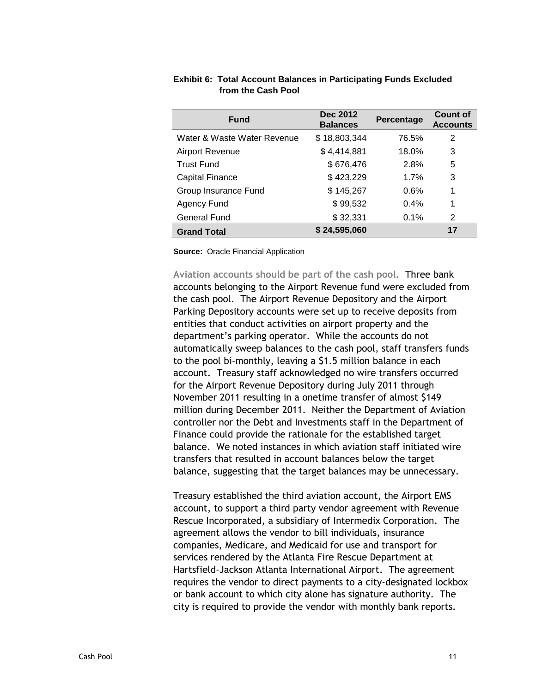| <b>Fund</b>                 | Dec 2012<br><b>Balances</b> | Percentage | <b>Count of</b><br><b>Accounts</b> |
|-----------------------------|-----------------------------|------------|------------------------------------|
| Water & Waste Water Revenue | \$18,803,344                | 76.5%      | 2                                  |
| <b>Airport Revenue</b>      | \$4,414,881                 | 18.0%      | 3                                  |
| <b>Trust Fund</b>           | \$676,476                   | 2.8%       | 5                                  |
| <b>Capital Finance</b>      | \$423,229                   | $1.7\%$    | 3                                  |
| Group Insurance Fund        | \$145,267                   | 0.6%       | 1                                  |
| Agency Fund                 | \$99,532                    | $0.4\%$    | 1                                  |
| General Fund                | \$32,331                    | 0.1%       | 2                                  |
| <b>Grand Total</b>          | \$24,595,060                |            | 17                                 |

#### <span id="page-18-0"></span>**Exhibit 6: Total Account Balances in Participating Funds Excluded from the Cash Pool**

**Source:** Oracle Financial Application

**Aviation accounts should be part of the cash pool.** Three bank accounts belonging to the Airport Revenue fund were excluded from the cash pool. The Airport Revenue Depository and the Airport Parking Depository accounts were set up to receive deposits from entities that conduct activities on airport property and the department's parking operator. While the accounts do not automatically sweep balances to the cash pool, staff transfers funds to the pool bi-monthly, leaving a \$1.5 million balance in each account. Treasury staff acknowledged no wire transfers occurred for the Airport Revenue Depository during July 2011 through November 2011 resulting in a onetime transfer of almost \$149 million during December 2011. Neither the Department of Aviation controller nor the Debt and Investments staff in the Department of Finance could provide the rationale for the established target balance. We noted instances in which aviation staff initiated wire transfers that resulted in account balances below the target balance, suggesting that the target balances may be unnecessary.

Treasury established the third aviation account, the Airport EMS account, to support a third party vendor agreement with Revenue Rescue Incorporated, a subsidiary of Intermedix Corporation. The agreement allows the vendor to bill individuals, insurance companies, Medicare, and Medicaid for use and transport for services rendered by the Atlanta Fire Rescue Department at Hartsfield-Jackson Atlanta International Airport. The agreement requires the vendor to direct payments to a city-designated lockbox or bank account to which city alone has signature authority. The city is required to provide the vendor with monthly bank reports.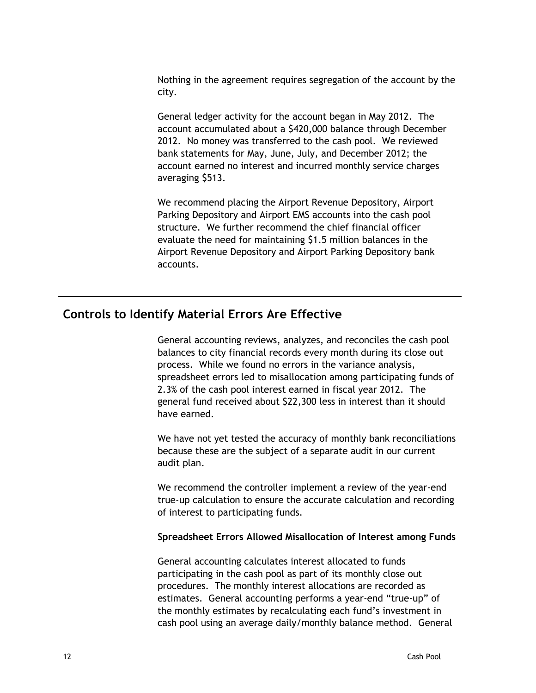Nothing in the agreement requires segregation of the account by the city.

General ledger activity for the account began in May 2012. The account accumulated about a \$420,000 balance through December 2012. No money was transferred to the cash pool. We reviewed bank statements for May, June, July, and December 2012; the account earned no interest and incurred monthly service charges averaging \$513.

We recommend placing the Airport Revenue Depository, Airport Parking Depository and Airport EMS accounts into the cash pool structure. We further recommend the chief financial officer evaluate the need for maintaining \$1.5 million balances in the Airport Revenue Depository and Airport Parking Depository bank accounts.

### <span id="page-19-0"></span>**Controls to Identify Material Errors Are Effective**

General accounting reviews, analyzes, and reconciles the cash pool balances to city financial records every month during its close out process. While we found no errors in the variance analysis, spreadsheet errors led to misallocation among participating funds of 2.3% of the cash pool interest earned in fiscal year 2012. The general fund received about \$22,300 less in interest than it should have earned.

We have not yet tested the accuracy of monthly bank reconciliations because these are the subject of a separate audit in our current audit plan.

We recommend the controller implement a review of the year-end true-up calculation to ensure the accurate calculation and recording of interest to participating funds.

### <span id="page-19-1"></span>**Spreadsheet Errors Allowed Misallocation of Interest among Funds**

General accounting calculates interest allocated to funds participating in the cash pool as part of its monthly close out procedures. The monthly interest allocations are recorded as estimates. General accounting performs a year-end "true-up" of the monthly estimates by recalculating each fund's investment in cash pool using an average daily/monthly balance method. General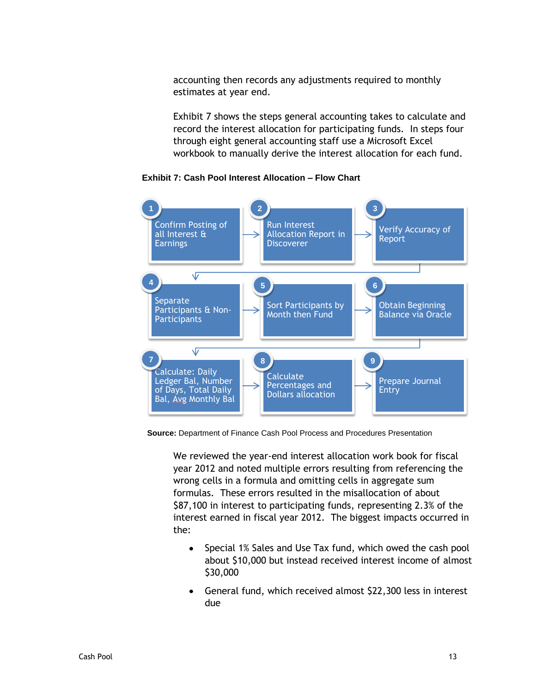accounting then records any adjustments required to monthly estimates at year end.

Exhibit 7 shows the steps general accounting takes to calculate and record the interest allocation for participating funds. In steps four through eight general accounting staff use a Microsoft Excel workbook to manually derive the interest allocation for each fund.



<span id="page-20-0"></span> **Exhibit 7: Cash Pool Interest Allocation – Flow Chart**

 **Source:** Department of Finance Cash Pool Process and Procedures Presentation

We reviewed the year-end interest allocation work book for fiscal year 2012 and noted multiple errors resulting from referencing the wrong cells in a formula and omitting cells in aggregate sum formulas. These errors resulted in the misallocation of about \$87,100 in interest to participating funds, representing 2.3% of the interest earned in fiscal year 2012. The biggest impacts occurred in the:

- Special 1% Sales and Use Tax fund, which owed the cash pool  $\bullet$ about \$10,000 but instead received interest income of almost \$30,000
- General fund, which received almost \$22,300 less in interest due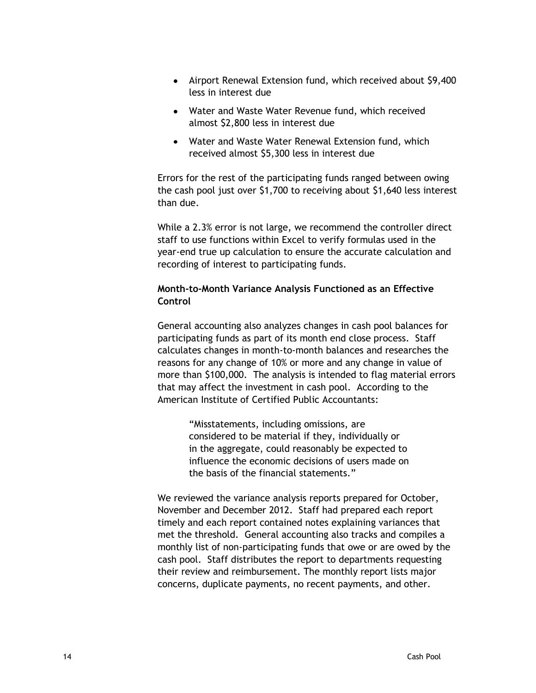- Airport Renewal Extension fund, which received about \$9,400 less in interest due
- Water and Waste Water Revenue fund, which received almost \$2,800 less in interest due
- Water and Waste Water Renewal Extension fund, which received almost \$5,300 less in interest due

Errors for the rest of the participating funds ranged between owing the cash pool just over \$1,700 to receiving about \$1,640 less interest than due.

While a 2.3% error is not large, we recommend the controller direct staff to use functions within Excel to verify formulas used in the year-end true up calculation to ensure the accurate calculation and recording of interest to participating funds.

### <span id="page-21-0"></span>**Month-to-Month Variance Analysis Functioned as an Effective Control**

General accounting also analyzes changes in cash pool balances for participating funds as part of its month end close process. Staff calculates changes in month-to-month balances and researches the reasons for any change of 10% or more and any change in value of more than \$100,000. The analysis is intended to flag material errors that may affect the investment in cash pool. According to the American Institute of Certified Public Accountants:

> "Misstatements, including omissions, are considered to be material if they, individually or in the aggregate, could reasonably be expected to influence the economic decisions of users made on the basis of the financial statements."

We reviewed the variance analysis reports prepared for October, November and December 2012. Staff had prepared each report timely and each report contained notes explaining variances that met the threshold. General accounting also tracks and compiles a monthly list of non-participating funds that owe or are owed by the cash pool. Staff distributes the report to departments requesting their review and reimbursement. The monthly report lists major concerns, duplicate payments, no recent payments, and other.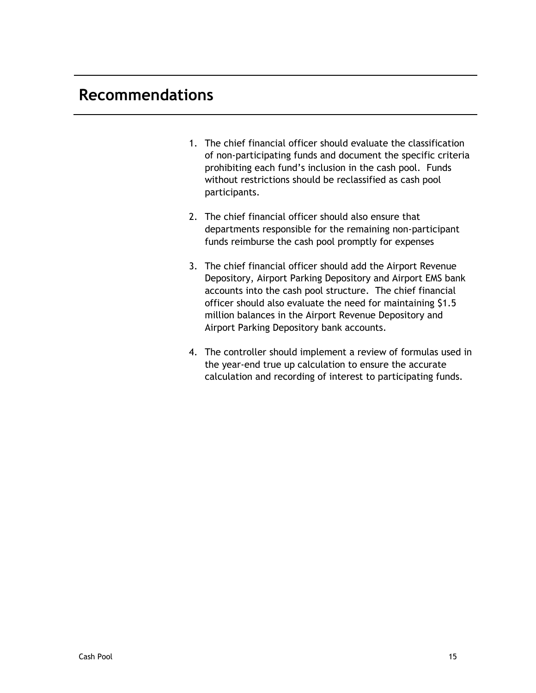# <span id="page-22-0"></span>**Recommendations**

- 1. The chief financial officer should evaluate the classification of non-participating funds and document the specific criteria prohibiting each fund's inclusion in the cash pool. Funds without restrictions should be reclassified as cash pool participants.
- 2. The chief financial officer should also ensure that departments responsible for the remaining non-participant funds reimburse the cash pool promptly for expenses
- 3. The chief financial officer should add the Airport Revenue Depository, Airport Parking Depository and Airport EMS bank accounts into the cash pool structure. The chief financial officer should also evaluate the need for maintaining \$1.5 million balances in the Airport Revenue Depository and Airport Parking Depository bank accounts.
- 4. The controller should implement a review of formulas used in the year-end true up calculation to ensure the accurate calculation and recording of interest to participating funds.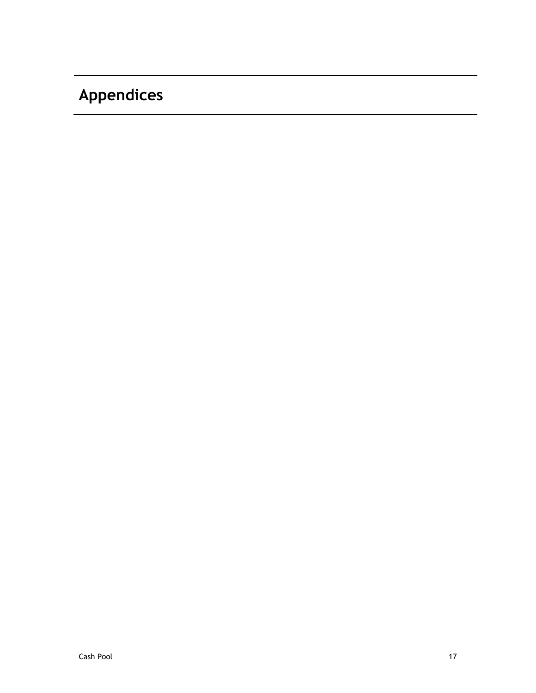# <span id="page-24-0"></span>**Appendices**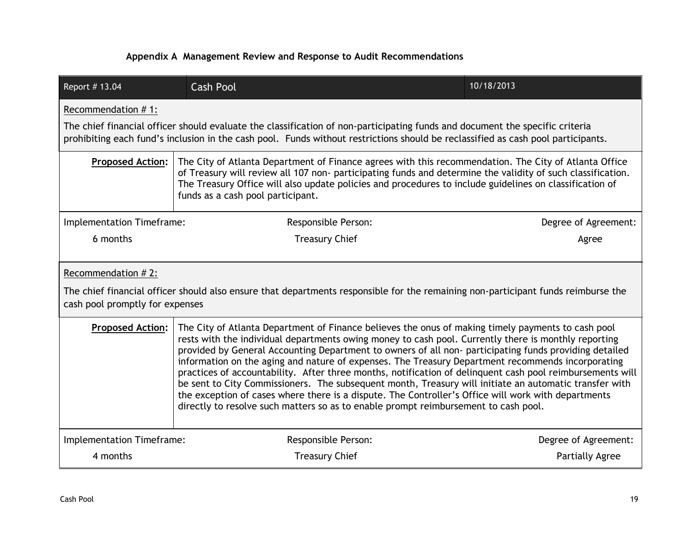### **Appendix A Management Review and Response to Audit Recommendations**

| Report # 13.04                                                                                                                                                                                                                                                                                                                                                                                                                                                                                                                                                                                                                                                                                                                                                                                                                                                           | <b>Cash Pool</b>                                                                                                                                                                                                                                                                                                                                                     | 10/18/2013             |  |
|--------------------------------------------------------------------------------------------------------------------------------------------------------------------------------------------------------------------------------------------------------------------------------------------------------------------------------------------------------------------------------------------------------------------------------------------------------------------------------------------------------------------------------------------------------------------------------------------------------------------------------------------------------------------------------------------------------------------------------------------------------------------------------------------------------------------------------------------------------------------------|----------------------------------------------------------------------------------------------------------------------------------------------------------------------------------------------------------------------------------------------------------------------------------------------------------------------------------------------------------------------|------------------------|--|
| Recommendation #1:<br>The chief financial officer should evaluate the classification of non-participating funds and document the specific criteria<br>prohibiting each fund's inclusion in the cash pool. Funds without restrictions should be reclassified as cash pool participants.                                                                                                                                                                                                                                                                                                                                                                                                                                                                                                                                                                                   |                                                                                                                                                                                                                                                                                                                                                                      |                        |  |
| <b>Proposed Action:</b>                                                                                                                                                                                                                                                                                                                                                                                                                                                                                                                                                                                                                                                                                                                                                                                                                                                  | The City of Atlanta Department of Finance agrees with this recommendation. The City of Atlanta Office<br>of Treasury will review all 107 non- participating funds and determine the validity of such classification.<br>The Treasury Office will also update policies and procedures to include guidelines on classification of<br>funds as a cash pool participant. |                        |  |
| Implementation Timeframe:                                                                                                                                                                                                                                                                                                                                                                                                                                                                                                                                                                                                                                                                                                                                                                                                                                                | Responsible Person:                                                                                                                                                                                                                                                                                                                                                  | Degree of Agreement:   |  |
| 6 months                                                                                                                                                                                                                                                                                                                                                                                                                                                                                                                                                                                                                                                                                                                                                                                                                                                                 | <b>Treasury Chief</b>                                                                                                                                                                                                                                                                                                                                                | Agree                  |  |
| Recommendation #2:<br>The chief financial officer should also ensure that departments responsible for the remaining non-participant funds reimburse the<br>cash pool promptly for expenses                                                                                                                                                                                                                                                                                                                                                                                                                                                                                                                                                                                                                                                                               |                                                                                                                                                                                                                                                                                                                                                                      |                        |  |
| The City of Atlanta Department of Finance believes the onus of making timely payments to cash pool<br><b>Proposed Action:</b><br>rests with the individual departments owing money to cash pool. Currently there is monthly reporting<br>provided by General Accounting Department to owners of all non-participating funds providing detailed<br>information on the aging and nature of expenses. The Treasury Department recommends incorporating<br>practices of accountability. After three months, notification of delinquent cash pool reimbursements will<br>be sent to City Commissioners. The subsequent month, Treasury will initiate an automatic transfer with<br>the exception of cases where there is a dispute. The Controller's Office will work with departments<br>directly to resolve such matters so as to enable prompt reimbursement to cash pool. |                                                                                                                                                                                                                                                                                                                                                                      |                        |  |
| Implementation Timeframe:                                                                                                                                                                                                                                                                                                                                                                                                                                                                                                                                                                                                                                                                                                                                                                                                                                                | Responsible Person:                                                                                                                                                                                                                                                                                                                                                  | Degree of Agreement:   |  |
| 4 months                                                                                                                                                                                                                                                                                                                                                                                                                                                                                                                                                                                                                                                                                                                                                                                                                                                                 | <b>Treasury Chief</b>                                                                                                                                                                                                                                                                                                                                                | <b>Partially Agree</b> |  |